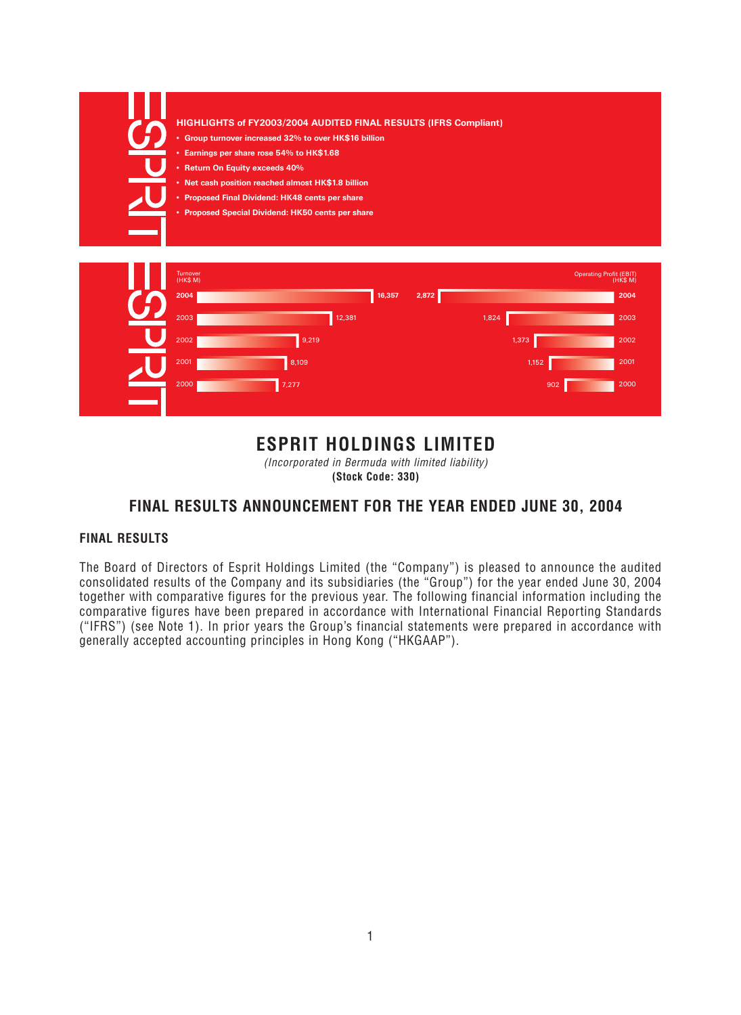| HIGHLIGHTS of FY2003/2004 AUDITED FINAL RESULTS (IFRS Compliant)                                      |                 |       |                                     |
|-------------------------------------------------------------------------------------------------------|-----------------|-------|-------------------------------------|
| • Group turnover increased 32% to over HK\$16 billion                                                 |                 |       |                                     |
| • Earnings per share rose 54% to HK\$1.68                                                             |                 |       |                                     |
| • Return On Equity exceeds 40%                                                                        |                 |       |                                     |
| • Net cash position reached almost HK\$1.8 billion<br>• Proposed Final Dividend: HK48 cents per share |                 |       |                                     |
| • Proposed Special Dividend: HK50 cents per share                                                     |                 |       |                                     |
|                                                                                                       |                 |       |                                     |
|                                                                                                       |                 |       |                                     |
| <b>Turnover</b><br>(HK\$ M)                                                                           |                 |       | Operating Profit (EBIT)<br>(HK\$ M) |
| 2004                                                                                                  | 16,357<br>2,872 |       | 2004                                |
| 12,381<br>2003                                                                                        |                 | 1,824 | 2003                                |
| 9,219<br>2002                                                                                         |                 | 1,373 | 2002                                |
| 8,109<br>2001                                                                                         |                 | 1,152 | 2001                                |
| 2000<br>7,277                                                                                         |                 | 902   | 2000                                |
|                                                                                                       |                 |       |                                     |
|                                                                                                       |                 |       |                                     |

# **ESPRIT HOLDINGS LIMITED**

(Incorporated in Bermuda with limited liability)

**(Stock Code: 330)**

# **FINAL RESULTS ANNOUNCEMENT FOR THE YEAR ENDED JUNE 30, 2004**

# **FINAL RESULTS**

The Board of Directors of Esprit Holdings Limited (the "Company") is pleased to announce the audited consolidated results of the Company and its subsidiaries (the "Group") for the year ended June 30, 2004 together with comparative figures for the previous year. The following financial information including the comparative figures have been prepared in accordance with International Financial Reporting Standards ("IFRS") (see Note 1). In prior years the Group's financial statements were prepared in accordance with generally accepted accounting principles in Hong Kong ("HKGAAP").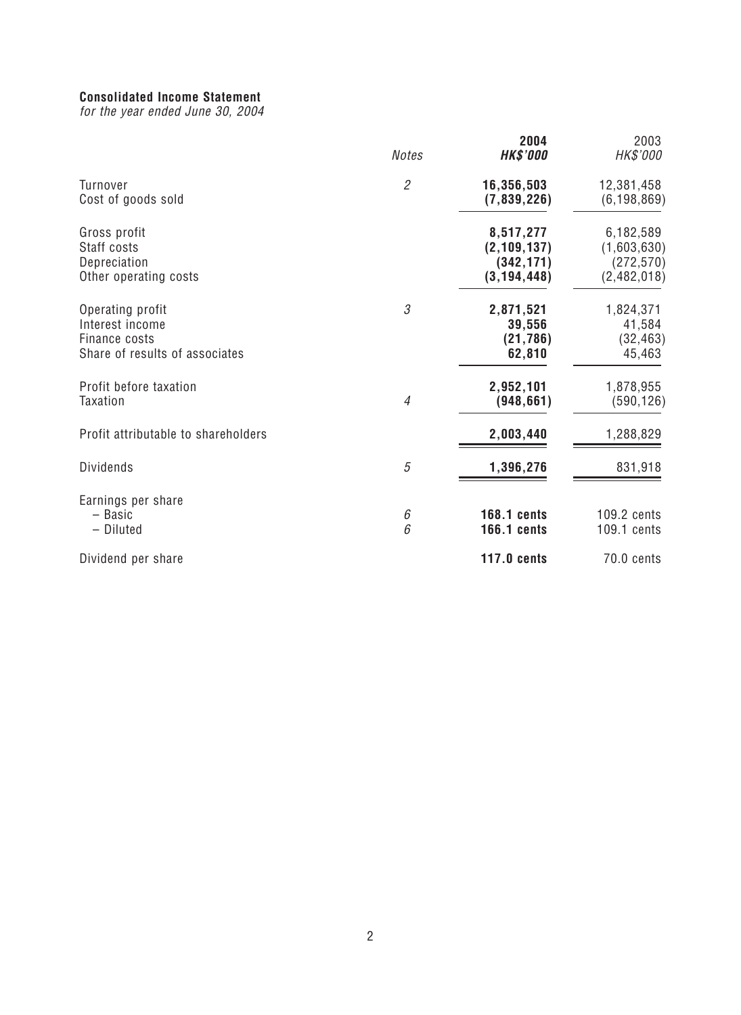# **Consolidated Income Statement**

for the year ended June 30, 2004

|                                                                                        | <b>Notes</b>   | 2004<br><b>HK\$'000</b>                                   | 2003<br>HK\$'000                                      |
|----------------------------------------------------------------------------------------|----------------|-----------------------------------------------------------|-------------------------------------------------------|
| <b>Turnover</b><br>Cost of goods sold                                                  | $\mathfrak{2}$ | 16,356,503<br>(7,839,226)                                 | 12,381,458<br>(6, 198, 869)                           |
| Gross profit<br>Staff costs<br>Depreciation<br>Other operating costs                   |                | 8,517,277<br>(2, 109, 137)<br>(342, 171)<br>(3, 194, 448) | 6,182,589<br>(1,603,630)<br>(272, 570)<br>(2,482,018) |
| Operating profit<br>Interest income<br>Finance costs<br>Share of results of associates | 3              | 2,871,521<br>39,556<br>(21, 786)<br>62,810                | 1,824,371<br>41,584<br>(32, 463)<br>45,463            |
| Profit before taxation<br>Taxation                                                     | $\overline{4}$ | 2,952,101<br>(948, 661)                                   | 1,878,955<br>(590, 126)                               |
| Profit attributable to shareholders                                                    |                | 2,003,440                                                 | 1,288,829                                             |
| <b>Dividends</b>                                                                       | $\sqrt{5}$     | 1,396,276                                                 | 831,918                                               |
| Earnings per share<br>- Basic<br>- Diluted                                             | 6<br>6         | <b>168.1 cents</b><br><b>166.1 cents</b>                  | 109.2 cents<br>109.1 cents                            |
| Dividend per share                                                                     |                | <b>117.0 cents</b>                                        | 70.0 cents                                            |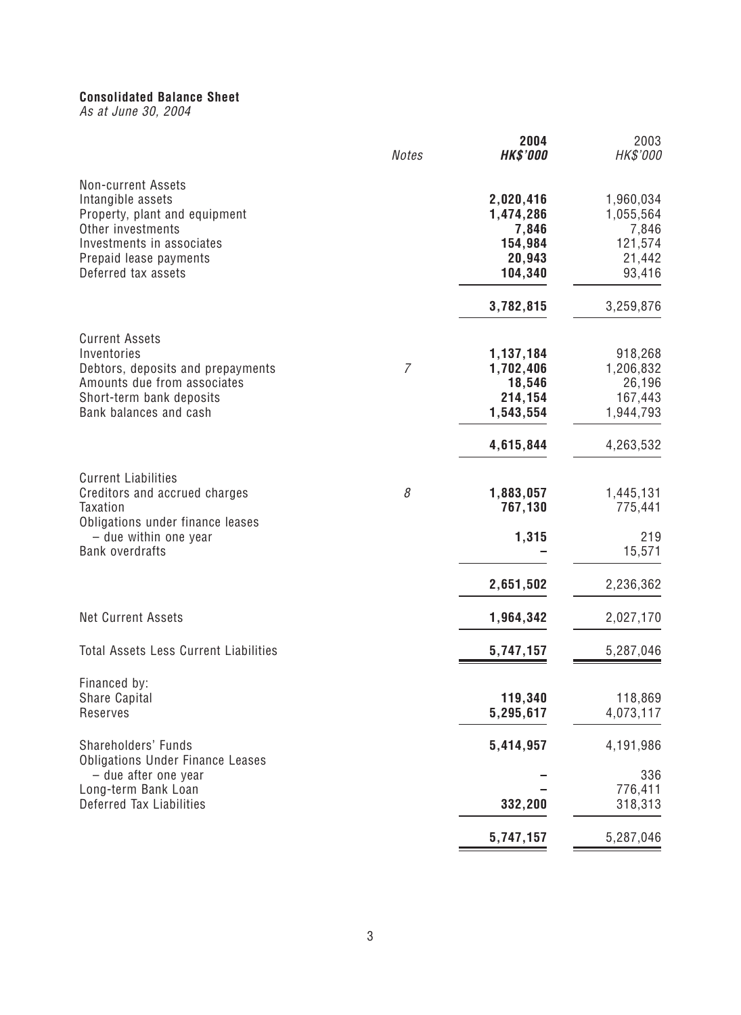# **Consolidated Balance Sheet**

As at June 30, 2004

|                                                                                                                                                                                    | <b>Notes</b>   | 2004<br><b>HK\$'000</b>                                               | 2003<br>HK\$'000                                                    |
|------------------------------------------------------------------------------------------------------------------------------------------------------------------------------------|----------------|-----------------------------------------------------------------------|---------------------------------------------------------------------|
| <b>Non-current Assets</b><br>Intangible assets<br>Property, plant and equipment<br>Other investments<br>Investments in associates<br>Prepaid lease payments<br>Deferred tax assets |                | 2,020,416<br>1,474,286<br>7,846<br>154,984<br>20,943<br>104,340       | 1,960,034<br>1,055,564<br>7,846<br>121,574<br>21,442<br>93,416      |
|                                                                                                                                                                                    |                | 3,782,815                                                             | 3,259,876                                                           |
| <b>Current Assets</b><br>Inventories<br>Debtors, deposits and prepayments<br>Amounts due from associates<br>Short-term bank deposits<br>Bank balances and cash                     | $\overline{7}$ | 1,137,184<br>1,702,406<br>18,546<br>214,154<br>1,543,554<br>4,615,844 | 918,268<br>1,206,832<br>26,196<br>167,443<br>1,944,793<br>4,263,532 |
|                                                                                                                                                                                    |                |                                                                       |                                                                     |
| <b>Current Liabilities</b><br>Creditors and accrued charges<br><b>Taxation</b><br>Obligations under finance leases                                                                 | 8              | 1,883,057<br>767,130                                                  | 1,445,131<br>775,441                                                |
| - due within one year<br><b>Bank overdrafts</b>                                                                                                                                    |                | 1,315                                                                 | 219<br>15,571                                                       |
|                                                                                                                                                                                    |                | 2,651,502                                                             | 2,236,362                                                           |
| <b>Net Current Assets</b>                                                                                                                                                          |                | 1,964,342                                                             | 2,027,170                                                           |
| <b>Total Assets Less Current Liabilities</b>                                                                                                                                       |                | 5,747,157                                                             | 5,287,046                                                           |
| Financed by:<br>Share Capital<br>Reserves                                                                                                                                          |                | 119,340<br>5,295,617                                                  | 118,869<br>4,073,117                                                |
| Shareholders' Funds                                                                                                                                                                |                | 5,414,957                                                             | 4,191,986                                                           |
| <b>Obligations Under Finance Leases</b><br>- due after one year<br>Long-term Bank Loan                                                                                             |                |                                                                       | 336<br>776,411                                                      |
| Deferred Tax Liabilities                                                                                                                                                           |                | 332,200                                                               | 318,313                                                             |
|                                                                                                                                                                                    |                | 5,747,157                                                             | 5,287,046                                                           |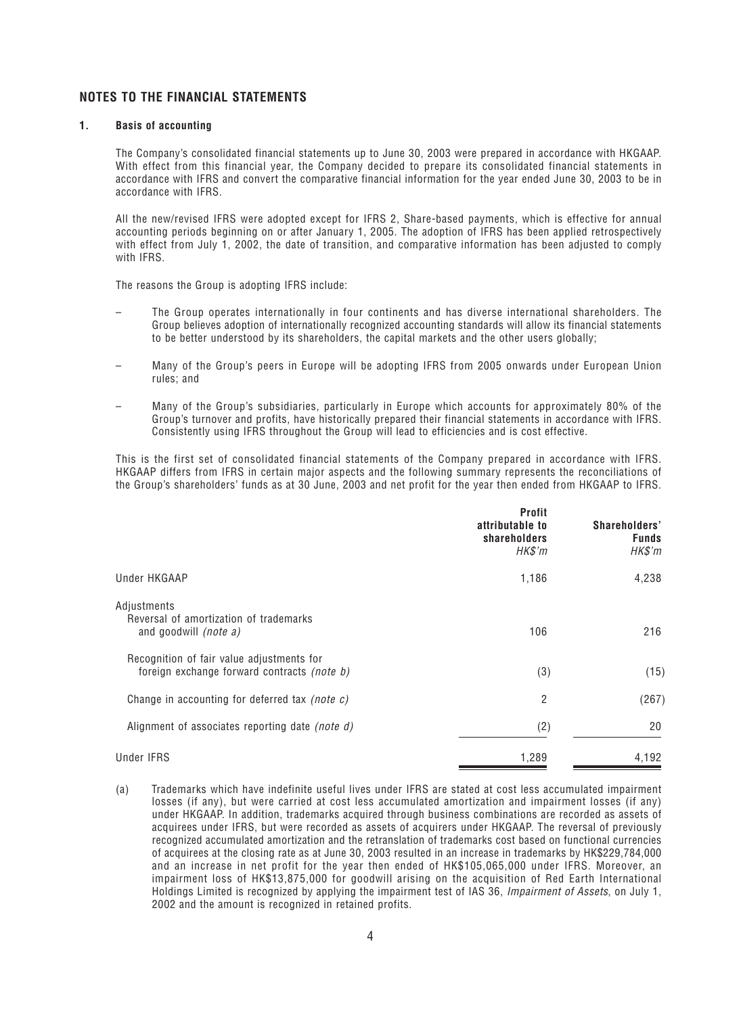### **NOTES TO THE FINANCIAL STATEMENTS**

#### **1. Basis of accounting**

The Company's consolidated financial statements up to June 30, 2003 were prepared in accordance with HKGAAP. With effect from this financial year, the Company decided to prepare its consolidated financial statements in accordance with IFRS and convert the comparative financial information for the year ended June 30, 2003 to be in accordance with IFRS.

All the new/revised IFRS were adopted except for IFRS 2, Share-based payments, which is effective for annual accounting periods beginning on or after January 1, 2005. The adoption of IFRS has been applied retrospectively with effect from July 1, 2002, the date of transition, and comparative information has been adjusted to comply with IFRS.

The reasons the Group is adopting IFRS include:

- The Group operates internationally in four continents and has diverse international shareholders. The Group believes adoption of internationally recognized accounting standards will allow its financial statements to be better understood by its shareholders, the capital markets and the other users globally;
- Many of the Group's peers in Europe will be adopting IFRS from 2005 onwards under European Union rules; and
- Many of the Group's subsidiaries, particularly in Europe which accounts for approximately 80% of the Group's turnover and profits, have historically prepared their financial statements in accordance with IFRS. Consistently using IFRS throughout the Group will lead to efficiencies and is cost effective.

This is the first set of consolidated financial statements of the Company prepared in accordance with IFRS. HKGAAP differs from IFRS in certain major aspects and the following summary represents the reconciliations of the Group's shareholders' funds as at 30 June, 2003 and net profit for the year then ended from HKGAAP to IFRS.

|                                                                                          | <b>Profit</b><br>attributable to<br>shareholders<br>HK\$'m | Shareholders'<br><b>Funds</b><br>$H K \$ $'m$ |
|------------------------------------------------------------------------------------------|------------------------------------------------------------|-----------------------------------------------|
| Under HKGAAP                                                                             | 1,186                                                      | 4,238                                         |
| Adjustments<br>Reversal of amortization of trademarks<br>and goodwill <i>(note a)</i>    | 106                                                        | 216                                           |
| Recognition of fair value adjustments for<br>foreign exchange forward contracts (note b) | (3)                                                        | (15)                                          |
| Change in accounting for deferred tax <i>(note c)</i>                                    | $\overline{2}$                                             | (267)                                         |
| Alignment of associates reporting date (note d)                                          | (2)                                                        | 20                                            |
| Under IFRS                                                                               | 1,289                                                      | 4,192                                         |

(a) Trademarks which have indefinite useful lives under IFRS are stated at cost less accumulated impairment losses (if any), but were carried at cost less accumulated amortization and impairment losses (if any) under HKGAAP. In addition, trademarks acquired through business combinations are recorded as assets of acquirees under IFRS, but were recorded as assets of acquirers under HKGAAP. The reversal of previously recognized accumulated amortization and the retranslation of trademarks cost based on functional currencies of acquirees at the closing rate as at June 30, 2003 resulted in an increase in trademarks by HK\$229,784,000 and an increase in net profit for the year then ended of HK\$105,065,000 under IFRS. Moreover, an impairment loss of HK\$13,875,000 for goodwill arising on the acquisition of Red Earth International Holdings Limited is recognized by applying the impairment test of IAS 36, Impairment of Assets, on July 1, 2002 and the amount is recognized in retained profits.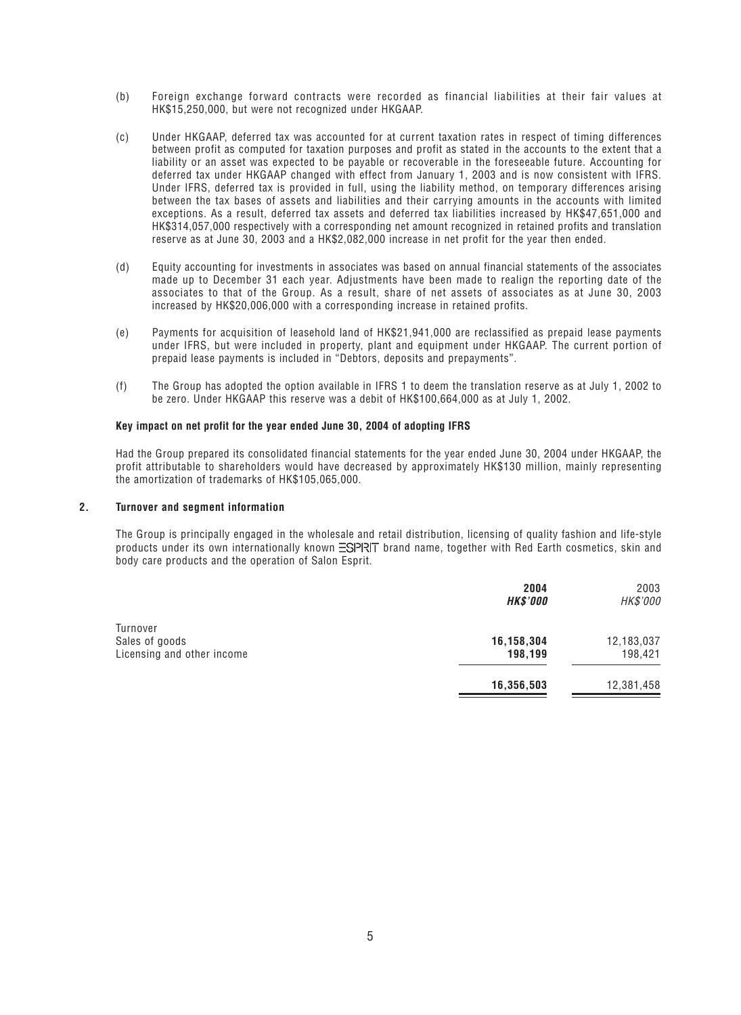- (b) Foreign exchange forward contracts were recorded as financial liabilities at their fair values at HK\$15,250,000, but were not recognized under HKGAAP.
- (c) Under HKGAAP, deferred tax was accounted for at current taxation rates in respect of timing differences between profit as computed for taxation purposes and profit as stated in the accounts to the extent that a liability or an asset was expected to be payable or recoverable in the foreseeable future. Accounting for deferred tax under HKGAAP changed with effect from January 1, 2003 and is now consistent with IFRS. Under IFRS, deferred tax is provided in full, using the liability method, on temporary differences arising between the tax bases of assets and liabilities and their carrying amounts in the accounts with limited exceptions. As a result, deferred tax assets and deferred tax liabilities increased by HK\$47,651,000 and HK\$314,057,000 respectively with a corresponding net amount recognized in retained profits and translation reserve as at June 30, 2003 and a HK\$2,082,000 increase in net profit for the year then ended.
- (d) Equity accounting for investments in associates was based on annual financial statements of the associates made up to December 31 each year. Adjustments have been made to realign the reporting date of the associates to that of the Group. As a result, share of net assets of associates as at June 30, 2003 increased by HK\$20,006,000 with a corresponding increase in retained profits.
- (e) Payments for acquisition of leasehold land of HK\$21,941,000 are reclassified as prepaid lease payments under IFRS, but were included in property, plant and equipment under HKGAAP. The current portion of prepaid lease payments is included in "Debtors, deposits and prepayments".
- (f) The Group has adopted the option available in IFRS 1 to deem the translation reserve as at July 1, 2002 to be zero. Under HKGAAP this reserve was a debit of HK\$100,664,000 as at July 1, 2002.

#### **Key impact on net profit for the year ended June 30, 2004 of adopting IFRS**

Had the Group prepared its consolidated financial statements for the year ended June 30, 2004 under HKGAAP, the profit attributable to shareholders would have decreased by approximately HK\$130 million, mainly representing the amortization of trademarks of HK\$105,065,000.

#### **2. Turnover and segment information**

The Group is principally engaged in the wholesale and retail distribution, licensing of quality fashion and life-style products under its own internationally known  $\equiv$ SPRIT brand name, together with Red Earth cosmetics, skin and body care products and the operation of Salon Esprit.

|                                                          | 2004<br><b>HK\$'000</b> | 2003<br>HK\$'000      |
|----------------------------------------------------------|-------------------------|-----------------------|
| Turnover<br>Sales of goods<br>Licensing and other income | 16,158,304<br>198,199   | 12,183,037<br>198,421 |
|                                                          | 16,356,503              | 12,381,458            |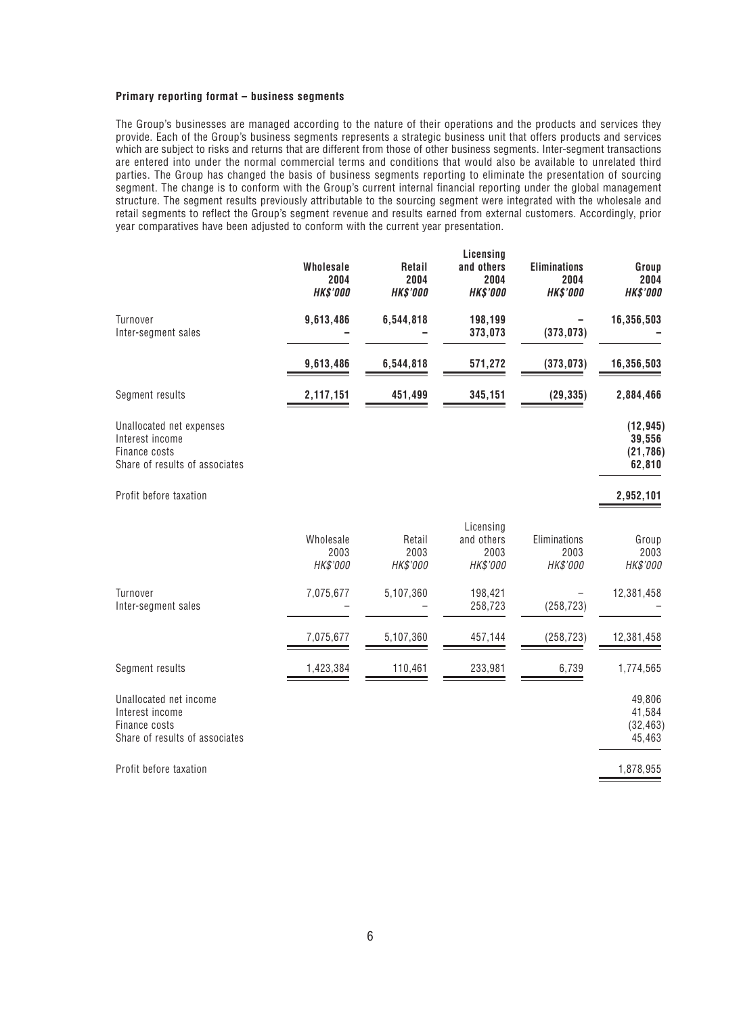#### **Primary reporting format – business segments**

The Group's businesses are managed according to the nature of their operations and the products and services they provide. Each of the Group's business segments represents a strategic business unit that offers products and services which are subject to risks and returns that are different from those of other business segments. Inter-segment transactions are entered into under the normal commercial terms and conditions that would also be available to unrelated third parties. The Group has changed the basis of business segments reporting to eliminate the presentation of sourcing segment. The change is to conform with the Group's current internal financial reporting under the global management structure. The segment results previously attributable to the sourcing segment were integrated with the wholesale and retail segments to reflect the Group's segment revenue and results earned from external customers. Accordingly, prior year comparatives have been adjusted to conform with the current year presentation.

|                                                                                                | <b>Wholesale</b><br>2004<br><b>HK\$'000</b> | Retail<br>2004<br><b>HK\$'000</b> | Licensing<br>and others<br>2004<br><b>HK\$'000</b> | <b>Eliminations</b><br>2004<br><b>HK\$'000</b> | Group<br>2004<br><b>HK\$'000</b>           |
|------------------------------------------------------------------------------------------------|---------------------------------------------|-----------------------------------|----------------------------------------------------|------------------------------------------------|--------------------------------------------|
| Turnover<br>Inter-segment sales                                                                | 9,613,486                                   | 6,544,818                         | 198,199<br>373,073                                 | (373, 073)                                     | 16,356,503                                 |
|                                                                                                | 9,613,486                                   | 6,544,818                         | 571,272                                            | (373, 073)                                     | 16,356,503                                 |
| Segment results                                                                                | 2,117,151                                   | 451,499                           | 345,151                                            | (29, 335)                                      | 2,884,466                                  |
| Unallocated net expenses<br>Interest income<br>Finance costs<br>Share of results of associates |                                             |                                   |                                                    |                                                | (12, 945)<br>39,556<br>(21, 786)<br>62,810 |
| Profit before taxation                                                                         |                                             |                                   |                                                    |                                                | 2,952,101                                  |
|                                                                                                | Wholesale<br>2003<br>HK\$'000               | Retail<br>2003<br>HK\$'000        | Licensing<br>and others<br>2003<br>HK\$'000        | Eliminations<br>2003<br>HK\$'000               | Group<br>2003<br>HK\$'000                  |
| Turnover<br>Inter-segment sales                                                                | 7,075,677                                   | 5,107,360                         | 198,421<br>258,723                                 | (258, 723)                                     | 12,381,458                                 |
|                                                                                                | 7,075,677                                   | 5,107,360                         | 457,144                                            | (258, 723)                                     | 12,381,458                                 |
| Segment results                                                                                | 1,423,384                                   | 110,461                           | 233,981                                            | 6,739                                          | 1,774,565                                  |
| Unallocated net income<br>Interest income<br>Finance costs<br>Share of results of associates   |                                             |                                   |                                                    |                                                | 49,806<br>41,584<br>(32, 463)<br>45,463    |
| Profit before taxation                                                                         |                                             |                                   |                                                    |                                                | 1,878,955                                  |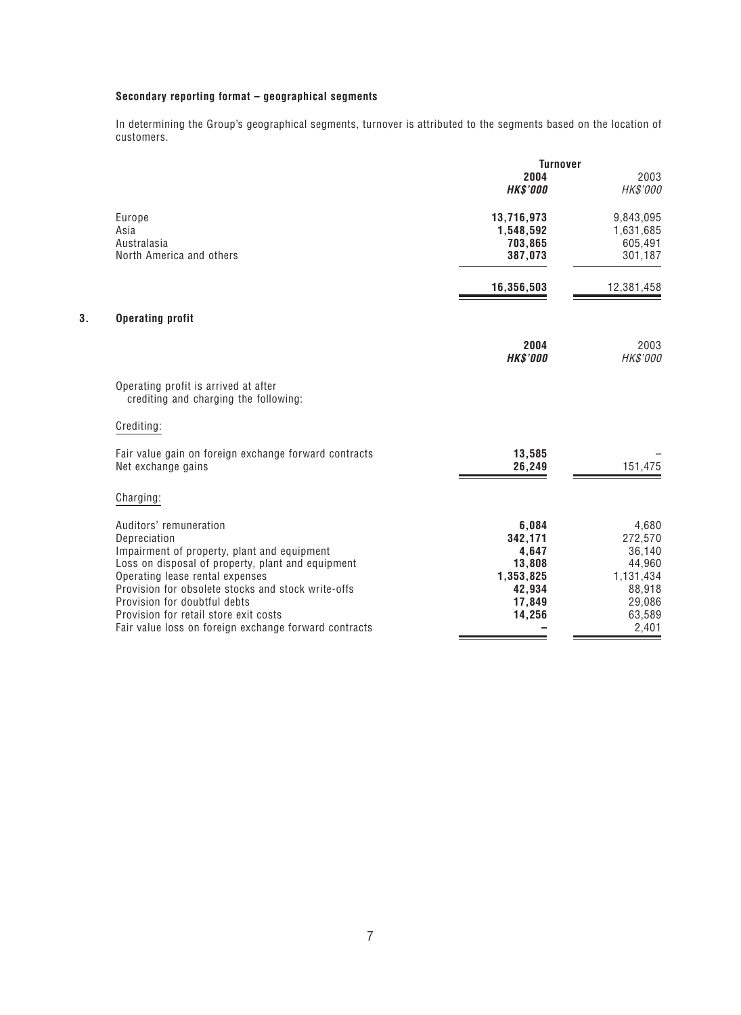# **Secondary reporting format – geographical segments**

In determining the Group's geographical segments, turnover is attributed to the segments based on the location of customers.

|    |                                                                                    | <b>Turnover</b>         |                  |  |
|----|------------------------------------------------------------------------------------|-------------------------|------------------|--|
|    |                                                                                    | 2004<br><b>HK\$'000</b> | 2003<br>HK\$'000 |  |
|    | Europe                                                                             | 13,716,973              | 9,843,095        |  |
|    | Asia                                                                               | 1,548,592               | 1,631,685        |  |
|    | Australasia                                                                        | 703,865                 | 605,491          |  |
|    | North America and others                                                           | 387,073                 | 301,187          |  |
|    |                                                                                    | 16,356,503              | 12,381,458       |  |
| 3. | <b>Operating profit</b>                                                            |                         |                  |  |
|    |                                                                                    | 2004                    | 2003             |  |
|    |                                                                                    | <b>HK\$'000</b>         | HK\$'000         |  |
|    | Operating profit is arrived at after<br>crediting and charging the following:      |                         |                  |  |
|    | Crediting:                                                                         |                         |                  |  |
|    | Fair value gain on foreign exchange forward contracts                              | 13,585                  |                  |  |
|    | Net exchange gains                                                                 | 26,249                  | 151,475          |  |
|    | Charging:                                                                          |                         |                  |  |
|    | Auditors' remuneration                                                             | 6,084                   | 4,680            |  |
|    | Depreciation                                                                       | 342,171                 | 272,570          |  |
|    | Impairment of property, plant and equipment                                        | 4,647                   | 36,140           |  |
|    | Loss on disposal of property, plant and equipment                                  | 13,808                  | 44,960           |  |
|    | Operating lease rental expenses                                                    | 1,353,825               | 1,131,434        |  |
|    | Provision for obsolete stocks and stock write-offs<br>Provision for doubtful debts | 42,934<br>17,849        | 88,918<br>29,086 |  |
|    | Provision for retail store exit costs                                              | 14,256                  | 63,589           |  |
|    | Fair value loss on foreign exchange forward contracts                              |                         | 2,401            |  |
|    |                                                                                    |                         |                  |  |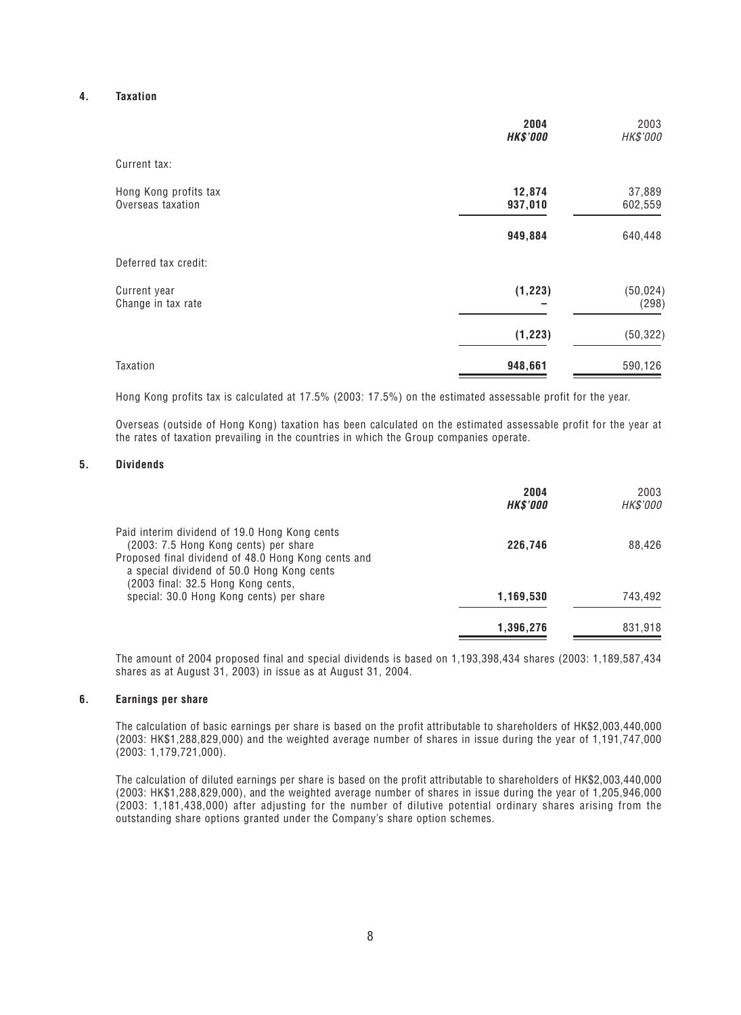### **4. Taxation**

|                                            | 2004<br><b>HK\$'000</b> | 2003<br>HK\$'000   |
|--------------------------------------------|-------------------------|--------------------|
| Current tax:                               |                         |                    |
| Hong Kong profits tax<br>Overseas taxation | 12,874<br>937,010       | 37,889<br>602,559  |
|                                            | 949,884                 | 640,448            |
| Deferred tax credit:                       |                         |                    |
| Current year<br>Change in tax rate         | (1, 223)                | (50, 024)<br>(298) |
|                                            | (1, 223)                | (50, 322)          |
| Taxation                                   | 948,661                 | 590,126            |

Hong Kong profits tax is calculated at 17.5% (2003: 17.5%) on the estimated assessable profit for the year.

Overseas (outside of Hong Kong) taxation has been calculated on the estimated assessable profit for the year at the rates of taxation prevailing in the countries in which the Group companies operate.

#### **5. Dividends**

|                                                                                                                                                                                             | 2004<br><b>HK\$'000</b> | 2003<br>HK\$'000 |
|---------------------------------------------------------------------------------------------------------------------------------------------------------------------------------------------|-------------------------|------------------|
| Paid interim dividend of 19.0 Hong Kong cents<br>(2003: 7.5 Hong Kong cents) per share<br>Proposed final dividend of 48.0 Hong Kong cents and<br>a special dividend of 50.0 Hong Kong cents | 226.746                 | 88,426           |
| (2003 final: 32.5 Hong Kong cents,<br>special: 30.0 Hong Kong cents) per share                                                                                                              | 1,169,530               | 743,492          |
|                                                                                                                                                                                             | 1,396,276               | 831,918          |

The amount of 2004 proposed final and special dividends is based on 1,193,398,434 shares (2003: 1,189,587,434 shares as at August 31, 2003) in issue as at August 31, 2004.

#### **6. Earnings per share**

The calculation of basic earnings per share is based on the profit attributable to shareholders of HK\$2,003,440,000 (2003: HK\$1,288,829,000) and the weighted average number of shares in issue during the year of 1,191,747,000 (2003: 1,179,721,000).

The calculation of diluted earnings per share is based on the profit attributable to shareholders of HK\$2,003,440,000 (2003: HK\$1,288,829,000), and the weighted average number of shares in issue during the year of 1,205,946,000 (2003: 1,181,438,000) after adjusting for the number of dilutive potential ordinary shares arising from the outstanding share options granted under the Company's share option schemes.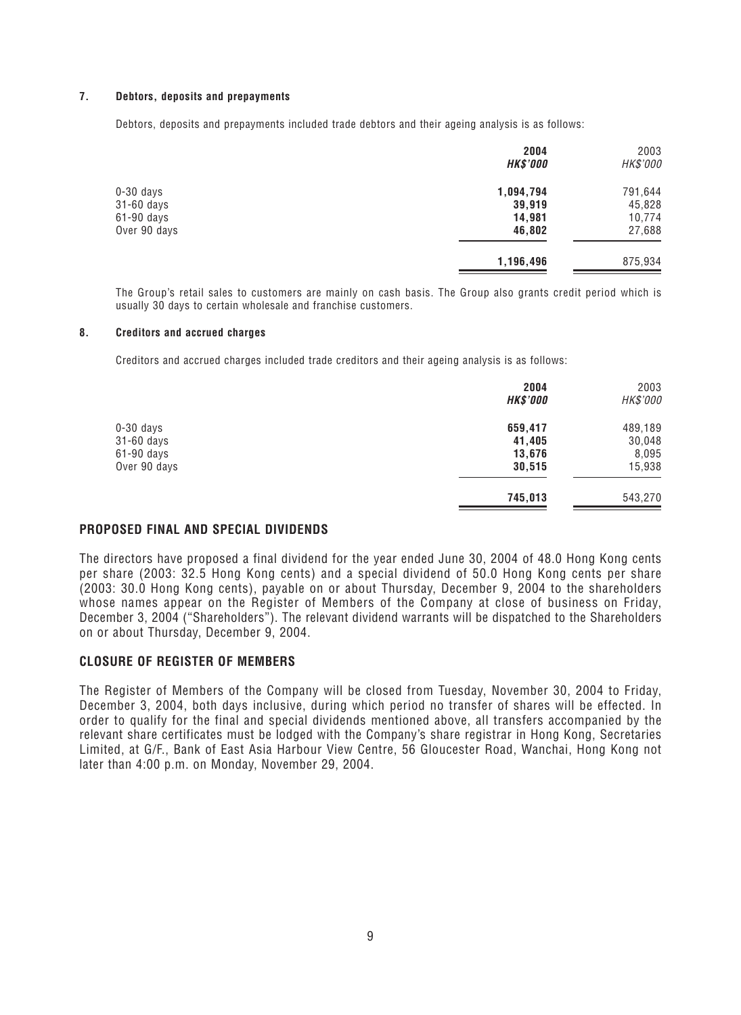### **7. Debtors, deposits and prepayments**

Debtors, deposits and prepayments included trade debtors and their ageing analysis is as follows:

|              | 2004<br><b>HK\$'000</b> | 2003<br>HK\$'000 |
|--------------|-------------------------|------------------|
| $0-30$ days  | 1,094,794               | 791,644          |
| 31-60 days   | 39,919                  | 45,828           |
| 61-90 days   | 14,981                  | 10,774           |
| Over 90 days | 46,802                  | 27,688           |
|              | 1,196,496               | 875,934          |

The Group's retail sales to customers are mainly on cash basis. The Group also grants credit period which is usually 30 days to certain wholesale and franchise customers.

#### **8. Creditors and accrued charges**

Creditors and accrued charges included trade creditors and their ageing analysis is as follows:

|              | 2004<br><b>HK\$'000</b> | 2003<br>HK\$'000 |
|--------------|-------------------------|------------------|
| $0-30$ days  | 659,417                 | 489,189          |
| 31-60 days   | 41,405                  | 30,048           |
| $61-90$ days | 13,676                  | 8,095            |
| Over 90 days | 30,515                  | 15,938           |
|              | 745,013                 | 543,270          |

# **PROPOSED FINAL AND SPECIAL DIVIDENDS**

The directors have proposed a final dividend for the year ended June 30, 2004 of 48.0 Hong Kong cents per share (2003: 32.5 Hong Kong cents) and a special dividend of 50.0 Hong Kong cents per share (2003: 30.0 Hong Kong cents), payable on or about Thursday, December 9, 2004 to the shareholders whose names appear on the Register of Members of the Company at close of business on Friday, December 3, 2004 ("Shareholders"). The relevant dividend warrants will be dispatched to the Shareholders on or about Thursday, December 9, 2004.

# **CLOSURE OF REGISTER OF MEMBERS**

The Register of Members of the Company will be closed from Tuesday, November 30, 2004 to Friday, December 3, 2004, both days inclusive, during which period no transfer of shares will be effected. In order to qualify for the final and special dividends mentioned above, all transfers accompanied by the relevant share certificates must be lodged with the Company's share registrar in Hong Kong, Secretaries Limited, at G/F., Bank of East Asia Harbour View Centre, 56 Gloucester Road, Wanchai, Hong Kong not later than 4:00 p.m. on Monday, November 29, 2004.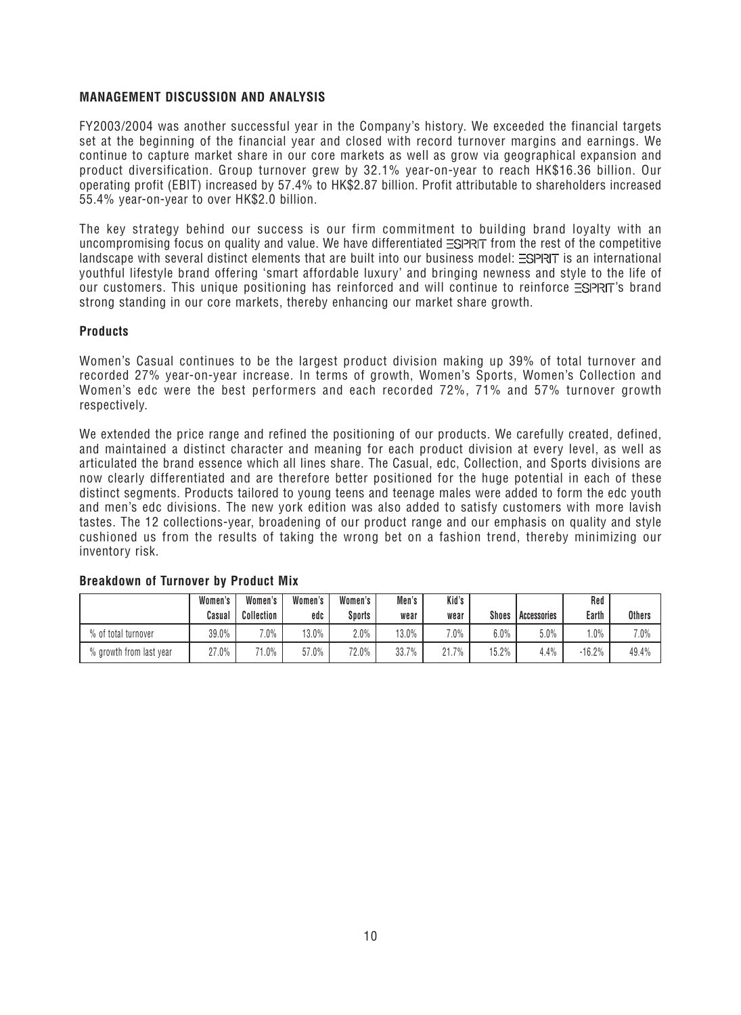# **MANAGEMENT DISCUSSION AND ANALYSIS**

FY2003/2004 was another successful year in the Company's history. We exceeded the financial targets set at the beginning of the financial year and closed with record turnover margins and earnings. We continue to capture market share in our core markets as well as grow via geographical expansion and product diversification. Group turnover grew by 32.1% year-on-year to reach HK\$16.36 billion. Our operating profit (EBIT) increased by 57.4% to HK\$2.87 billion. Profit attributable to shareholders increased 55.4% year-on-year to over HK\$2.0 billion.

The key strategy behind our success is our firm commitment to building brand loyalty with an uncompromising focus on quality and value. We have differentiated  $\equiv$ SPRT from the rest of the competitive landscape with several distinct elements that are built into our business model:  $\equiv$ SPRIT is an international youthful lifestyle brand offering 'smart affordable luxury' and bringing newness and style to the life of our customers. This unique positioning has reinforced and will continue to reinforce  $\Xi$ SPRT's brand strong standing in our core markets, thereby enhancing our market share growth.

# **Products**

Women's Casual continues to be the largest product division making up 39% of total turnover and recorded 27% year-on-year increase. In terms of growth, Women's Sports, Women's Collection and Women's edc were the best performers and each recorded 72%, 71% and 57% turnover growth respectively.

We extended the price range and refined the positioning of our products. We carefully created, defined, and maintained a distinct character and meaning for each product division at every level, as well as articulated the brand essence which all lines share. The Casual, edc, Collection, and Sports divisions are now clearly differentiated and are therefore better positioned for the huge potential in each of these distinct segments. Products tailored to young teens and teenage males were added to form the edc youth and men's edc divisions. The new york edition was also added to satisfy customers with more lavish tastes. The 12 collections-year, broadening of our product range and our emphasis on quality and style cushioned us from the results of taking the wrong bet on a fashion trend, thereby minimizing our inventory risk.

|                         | Women's | Women's    | Women's | Women's | Men's | Kid's   |              |               | Red      |               |
|-------------------------|---------|------------|---------|---------|-------|---------|--------------|---------------|----------|---------------|
|                         | Casual  | Collection | edc     | Sports  | wear  | wear    | <b>Shoes</b> | l Accessories | Earth    | <b>Others</b> |
| % of total turnover     | 39.0%   | $7.0\%$    | 13.0%   | $2.0\%$ | 13.0% | $7.0\%$ | $6.0\%$      | 5.0%          | $.0\%$   | 7.0%          |
| % growth from last year | 27.0%   | $71.0\%$   | 57.0%   | 72.0%   | 33.7% | 21.7%   | 15.2%        | 4.4%          | $-16.2%$ | 49.4%         |

# **Breakdown of Turnover by Product Mix**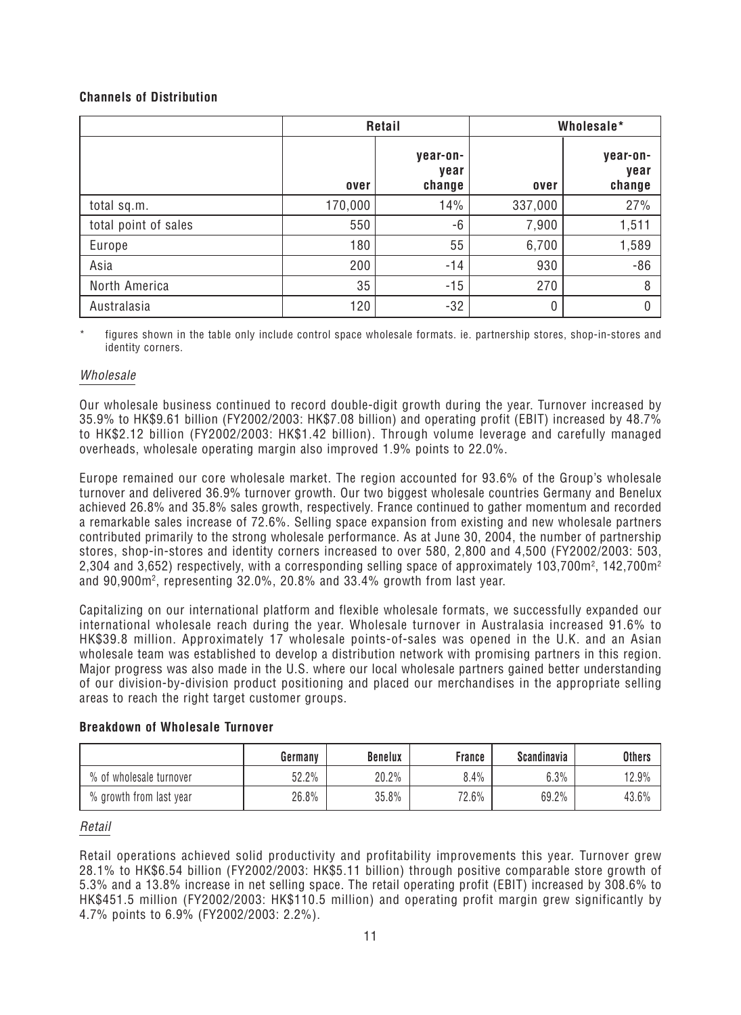# **Channels of Distribution**

|                      |         | Retail                     | Wholesale*   |                            |  |
|----------------------|---------|----------------------------|--------------|----------------------------|--|
|                      | over    | year-on-<br>year<br>change | over         | year-on-<br>year<br>change |  |
| total sq.m.          | 170,000 | 14%                        | 337,000      | 27%                        |  |
| total point of sales | 550     | -6                         | 7,900        | 1,511                      |  |
| Europe               | 180     | 55                         | 6,700        | 1,589                      |  |
| Asia                 | 200     | $-14$                      | 930          | $-86$                      |  |
| North America        | 35      | $-15$                      | 270          | 8                          |  |
| Australasia          | 120     | $-32$                      | $\mathbf{0}$ | $\theta$                   |  |

figures shown in the table only include control space wholesale formats. ie. partnership stores, shop-in-stores and identity corners.

# Wholesale

Our wholesale business continued to record double-digit growth during the year. Turnover increased by 35.9% to HK\$9.61 billion (FY2002/2003: HK\$7.08 billion) and operating profit (EBIT) increased by 48.7% to HK\$2.12 billion (FY2002/2003: HK\$1.42 billion). Through volume leverage and carefully managed overheads, wholesale operating margin also improved 1.9% points to 22.0%.

Europe remained our core wholesale market. The region accounted for 93.6% of the Group's wholesale turnover and delivered 36.9% turnover growth. Our two biggest wholesale countries Germany and Benelux achieved 26.8% and 35.8% sales growth, respectively. France continued to gather momentum and recorded a remarkable sales increase of 72.6%. Selling space expansion from existing and new wholesale partners contributed primarily to the strong wholesale performance. As at June 30, 2004, the number of partnership stores, shop-in-stores and identity corners increased to over 580, 2,800 and 4,500 (FY2002/2003: 503, 2,304 and 3,652) respectively, with a corresponding selling space of approximately 103,700m², 142,700m²  $\,$ and  $90{,}900$ m², representing 32.0%, 20.8% and 33.4% growth from last year.

Capitalizing on our international platform and flexible wholesale formats, we successfully expanded our international wholesale reach during the year. Wholesale turnover in Australasia increased 91.6% to HK\$39.8 million. Approximately 17 wholesale points-of-sales was opened in the U.K. and an Asian wholesale team was established to develop a distribution network with promising partners in this region. Major progress was also made in the U.S. where our local wholesale partners gained better understanding of our division-by-division product positioning and placed our merchandises in the appropriate selling areas to reach the right target customer groups.

# **Breakdown of Wholesale Turnover**

|                         | Germany | <b>Benelux</b> | France  | <b>Scandinavia</b> | <b>Others</b> |
|-------------------------|---------|----------------|---------|--------------------|---------------|
| % of wholesale turnover | 52.2%   | 20.2%          | $8.4\%$ | 6.3%               | 12.9%         |
| % growth from last year | 26.8%   | 35.8%          | 72.6%   | 69.2%              | 43.6%         |

# Retail

Retail operations achieved solid productivity and profitability improvements this year. Turnover grew 28.1% to HK\$6.54 billion (FY2002/2003: HK\$5.11 billion) through positive comparable store growth of 5.3% and a 13.8% increase in net selling space. The retail operating profit (EBIT) increased by 308.6% to HK\$451.5 million (FY2002/2003: HK\$110.5 million) and operating profit margin grew significantly by 4.7% points to 6.9% (FY2002/2003: 2.2%).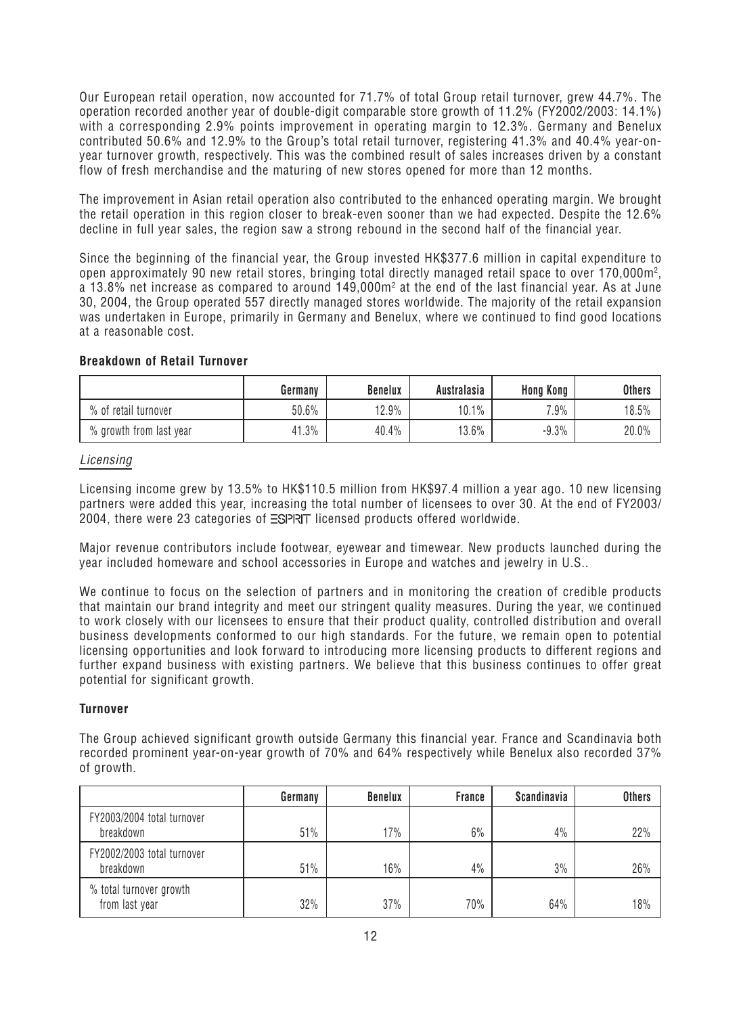Our European retail operation, now accounted for 71.7% of total Group retail turnover, grew 44.7%. The operation recorded another year of double-digit comparable store growth of 11.2% (FY2002/2003: 14.1%) with a corresponding 2.9% points improvement in operating margin to 12.3%. Germany and Benelux contributed 50.6% and 12.9% to the Group's total retail turnover, registering 41.3% and 40.4% year-onyear turnover growth, respectively. This was the combined result of sales increases driven by a constant flow of fresh merchandise and the maturing of new stores opened for more than 12 months.

The improvement in Asian retail operation also contributed to the enhanced operating margin. We brought the retail operation in this region closer to break-even sooner than we had expected. Despite the 12.6% decline in full year sales, the region saw a strong rebound in the second half of the financial year.

Since the beginning of the financial year, the Group invested HK\$377.6 million in capital expenditure to open approximately 90 new retail stores, bringing total directly managed retail space to over 170,000m<sup>2</sup>, a 13.8% net increase as compared to around 149,000m $^{\rm 2}$  at the end of the last financial year. As at June 30, 2004, the Group operated 557 directly managed stores worldwide. The majority of the retail expansion was undertaken in Europe, primarily in Germany and Benelux, where we continued to find good locations at a reasonable cost.

# **Breakdown of Retail Turnover**

|                         | Germany  | <b>Benelux</b> | Australasia | Hong Kong | <b>Others</b> |
|-------------------------|----------|----------------|-------------|-----------|---------------|
| % of retail turnover    | $50.6\%$ | 12.9%          | 10.1%       | 7.9%      | 18.5%         |
| % growth from last year | 41.3%    | 40.4%          | 13.6%       | $-9.3\%$  | 20.0%         |

# Licensing

Licensing income grew by 13.5% to HK\$110.5 million from HK\$97.4 million a year ago. 10 new licensing partners were added this year, increasing the total number of licensees to over 30. At the end of FY2003/ 2004, there were 23 categories of  $\equiv$ SPRIT licensed products offered worldwide.

Major revenue contributors include footwear, eyewear and timewear. New products launched during the year included homeware and school accessories in Europe and watches and jewelry in U.S..

We continue to focus on the selection of partners and in monitoring the creation of credible products that maintain our brand integrity and meet our stringent quality measures. During the year, we continued to work closely with our licensees to ensure that their product quality, controlled distribution and overall business developments conformed to our high standards. For the future, we remain open to potential licensing opportunities and look forward to introducing more licensing products to different regions and further expand business with existing partners. We believe that this business continues to offer great potential for significant growth.

# **Turnover**

The Group achieved significant growth outside Germany this financial year. France and Scandinavia both recorded prominent year-on-year growth of 70% and 64% respectively while Benelux also recorded 37% of growth.

|                                           | Germany | <b>Benelux</b> | <b>France</b> | Scandinavia | <b>Others</b> |
|-------------------------------------------|---------|----------------|---------------|-------------|---------------|
| FY2003/2004 total turnover<br>breakdown   | 51%     | 17%            | 6%            | 4%          | 22%           |
| FY2002/2003 total turnover<br>breakdown   | 51%     | 16%            | 4%            | 3%          | 26%           |
| % total turnover growth<br>from last year | 32%     | 37%            | 70%           | 64%         | 18%           |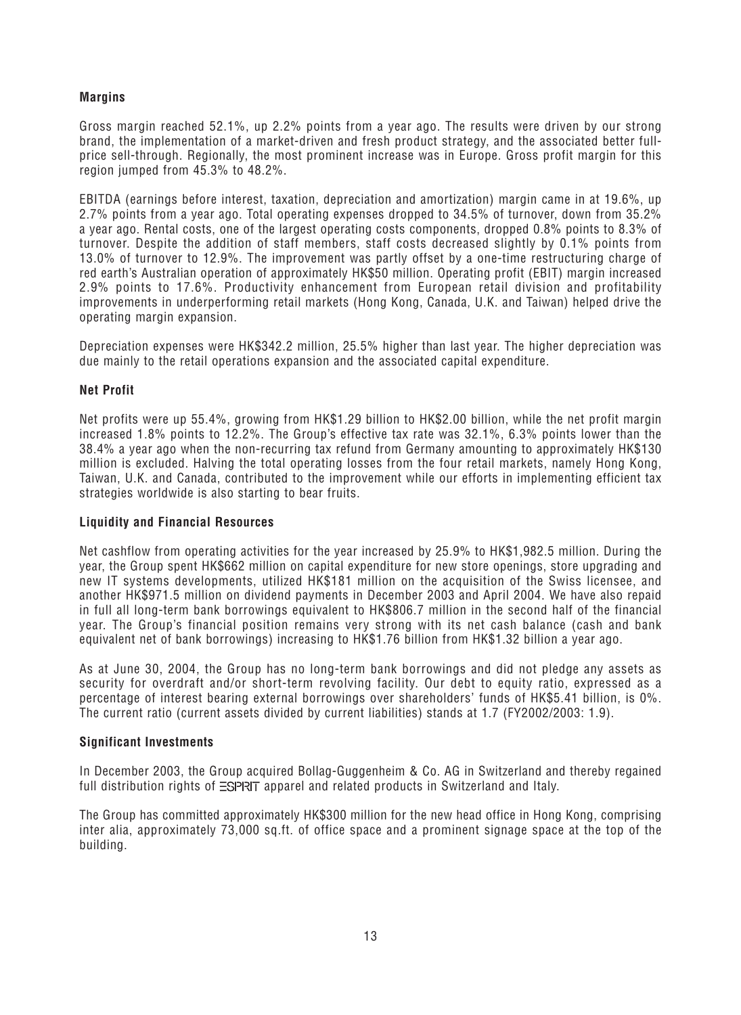# **Margins**

Gross margin reached 52.1%, up 2.2% points from a year ago. The results were driven by our strong brand, the implementation of a market-driven and fresh product strategy, and the associated better fullprice sell-through. Regionally, the most prominent increase was in Europe. Gross profit margin for this region jumped from 45.3% to 48.2%.

EBITDA (earnings before interest, taxation, depreciation and amortization) margin came in at 19.6%, up 2.7% points from a year ago. Total operating expenses dropped to 34.5% of turnover, down from 35.2% a year ago. Rental costs, one of the largest operating costs components, dropped 0.8% points to 8.3% of turnover. Despite the addition of staff members, staff costs decreased slightly by 0.1% points from 13.0% of turnover to 12.9%. The improvement was partly offset by a one-time restructuring charge of red earth's Australian operation of approximately HK\$50 million. Operating profit (EBIT) margin increased 2.9% points to 17.6%. Productivity enhancement from European retail division and profitability improvements in underperforming retail markets (Hong Kong, Canada, U.K. and Taiwan) helped drive the operating margin expansion.

Depreciation expenses were HK\$342.2 million, 25.5% higher than last year. The higher depreciation was due mainly to the retail operations expansion and the associated capital expenditure.

# **Net Profit**

Net profits were up 55.4%, growing from HK\$1.29 billion to HK\$2.00 billion, while the net profit margin increased 1.8% points to 12.2%. The Group's effective tax rate was 32.1%, 6.3% points lower than the 38.4% a year ago when the non-recurring tax refund from Germany amounting to approximately HK\$130 million is excluded. Halving the total operating losses from the four retail markets, namely Hong Kong, Taiwan, U.K. and Canada, contributed to the improvement while our efforts in implementing efficient tax strategies worldwide is also starting to bear fruits.

# **Liquidity and Financial Resources**

Net cashflow from operating activities for the year increased by 25.9% to HK\$1,982.5 million. During the year, the Group spent HK\$662 million on capital expenditure for new store openings, store upgrading and new IT systems developments, utilized HK\$181 million on the acquisition of the Swiss licensee, and another HK\$971.5 million on dividend payments in December 2003 and April 2004. We have also repaid in full all long-term bank borrowings equivalent to HK\$806.7 million in the second half of the financial year. The Group's financial position remains very strong with its net cash balance (cash and bank equivalent net of bank borrowings) increasing to HK\$1.76 billion from HK\$1.32 billion a year ago.

As at June 30, 2004, the Group has no long-term bank borrowings and did not pledge any assets as security for overdraft and/or short-term revolving facility. Our debt to equity ratio, expressed as a percentage of interest bearing external borrowings over shareholders' funds of HK\$5.41 billion, is 0%. The current ratio (current assets divided by current liabilities) stands at 1.7 (FY2002/2003: 1.9).

# **Significant Investments**

In December 2003, the Group acquired Bollag-Guggenheim & Co. AG in Switzerland and thereby regained full distribution rights of  $\equiv$ SPRIT apparel and related products in Switzerland and Italy.

The Group has committed approximately HK\$300 million for the new head office in Hong Kong, comprising inter alia, approximately 73,000 sq.ft. of office space and a prominent signage space at the top of the building.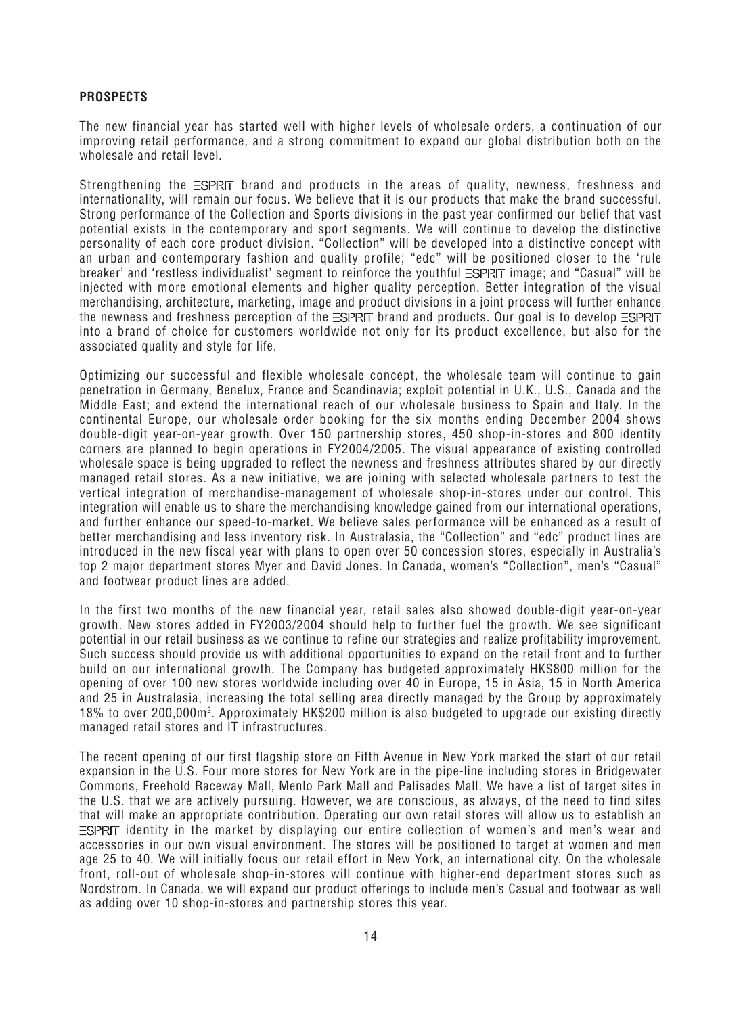# **PROSPECTS**

The new financial year has started well with higher levels of wholesale orders, a continuation of our improving retail performance, and a strong commitment to expand our global distribution both on the wholesale and retail level.

Strengthening the ESPRIT brand and products in the areas of quality, newness, freshness and internationality, will remain our focus. We believe that it is our products that make the brand successful. Strong performance of the Collection and Sports divisions in the past year confirmed our belief that vast potential exists in the contemporary and sport segments. We will continue to develop the distinctive personality of each core product division. "Collection" will be developed into a distinctive concept with an urban and contemporary fashion and quality profile; "edc" will be positioned closer to the 'rule breaker' and 'restless individualist' segment to reinforce the youthful  $\equiv$ SPRT image; and "Casual" will be injected with more emotional elements and higher quality perception. Better integration of the visual merchandising, architecture, marketing, image and product divisions in a joint process will further enhance the newness and freshness perception of the  $\equiv$ SPRIT brand and products. Our goal is to develop  $\equiv$ SPRIT into a brand of choice for customers worldwide not only for its product excellence, but also for the associated quality and style for life.

Optimizing our successful and flexible wholesale concept, the wholesale team will continue to gain penetration in Germany, Benelux, France and Scandinavia; exploit potential in U.K., U.S., Canada and the Middle East; and extend the international reach of our wholesale business to Spain and Italy. In the continental Europe, our wholesale order booking for the six months ending December 2004 shows double-digit year-on-year growth. Over 150 partnership stores, 450 shop-in-stores and 800 identity corners are planned to begin operations in FY2004/2005. The visual appearance of existing controlled wholesale space is being upgraded to reflect the newness and freshness attributes shared by our directly managed retail stores. As a new initiative, we are joining with selected wholesale partners to test the vertical integration of merchandise-management of wholesale shop-in-stores under our control. This integration will enable us to share the merchandising knowledge gained from our international operations, and further enhance our speed-to-market. We believe sales performance will be enhanced as a result of better merchandising and less inventory risk. In Australasia, the "Collection" and "edc" product lines are introduced in the new fiscal year with plans to open over 50 concession stores, especially in Australia's top 2 major department stores Myer and David Jones. In Canada, women's "Collection", men's "Casual" and footwear product lines are added.

In the first two months of the new financial year, retail sales also showed double-digit year-on-year growth. New stores added in FY2003/2004 should help to further fuel the growth. We see significant potential in our retail business as we continue to refine our strategies and realize profitability improvement. Such success should provide us with additional opportunities to expand on the retail front and to further build on our international growth. The Company has budgeted approximately HK\$800 million for the opening of over 100 new stores worldwide including over 40 in Europe, 15 in Asia, 15 in North America and 25 in Australasia, increasing the total selling area directly managed by the Group by approximately 18% to over 200,000m2 . Approximately HK\$200 million is also budgeted to upgrade our existing directly managed retail stores and IT infrastructures.

The recent opening of our first flagship store on Fifth Avenue in New York marked the start of our retail expansion in the U.S. Four more stores for New York are in the pipe-line including stores in Bridgewater Commons, Freehold Raceway Mall, Menlo Park Mall and Palisades Mall. We have a list of target sites in the U.S. that we are actively pursuing. However, we are conscious, as always, of the need to find sites that will make an appropriate contribution. Operating our own retail stores will allow us to establish an  $\Xi$ SPRIT identity in the market by displaying our entire collection of women's and men's wear and accessories in our own visual environment. The stores will be positioned to target at women and men age 25 to 40. We will initially focus our retail effort in New York, an international city. On the wholesale front, roll-out of wholesale shop-in-stores will continue with higher-end department stores such as Nordstrom. In Canada, we will expand our product offerings to include men's Casual and footwear as well as adding over 10 shop-in-stores and partnership stores this year.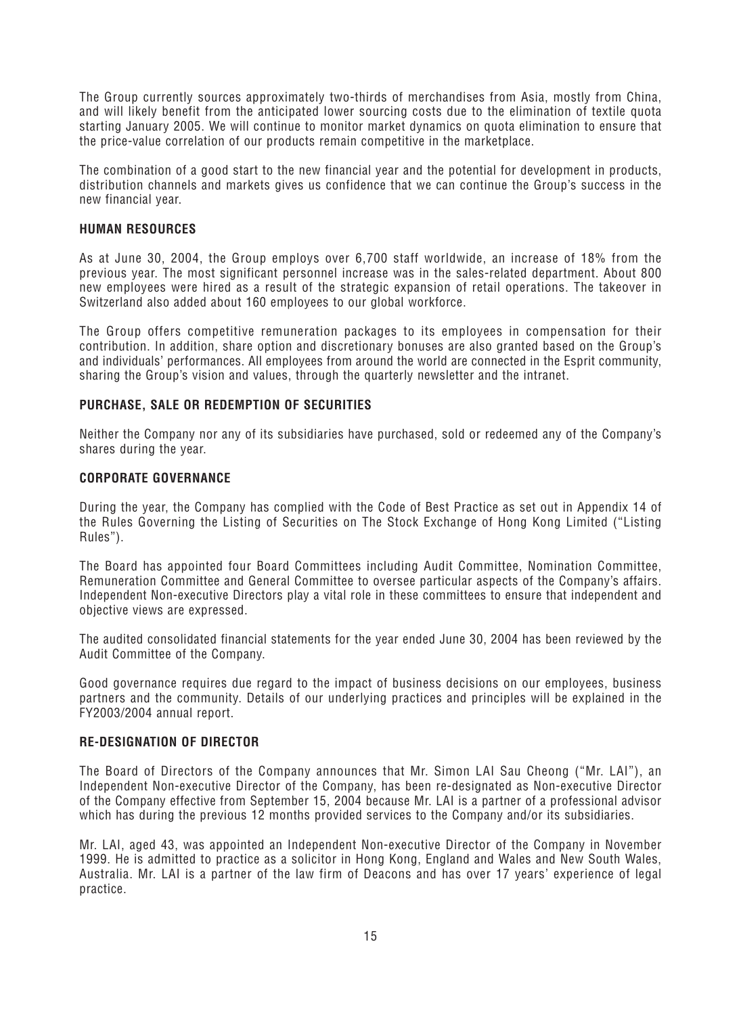The Group currently sources approximately two-thirds of merchandises from Asia, mostly from China, and will likely benefit from the anticipated lower sourcing costs due to the elimination of textile quota starting January 2005. We will continue to monitor market dynamics on quota elimination to ensure that the price-value correlation of our products remain competitive in the marketplace.

The combination of a good start to the new financial year and the potential for development in products, distribution channels and markets gives us confidence that we can continue the Group's success in the new financial year.

# **HUMAN RESOURCES**

As at June 30, 2004, the Group employs over 6,700 staff worldwide, an increase of 18% from the previous year. The most significant personnel increase was in the sales-related department. About 800 new employees were hired as a result of the strategic expansion of retail operations. The takeover in Switzerland also added about 160 employees to our global workforce.

The Group offers competitive remuneration packages to its employees in compensation for their contribution. In addition, share option and discretionary bonuses are also granted based on the Group's and individuals' performances. All employees from around the world are connected in the Esprit community, sharing the Group's vision and values, through the quarterly newsletter and the intranet.

# **PURCHASE, SALE OR REDEMPTION OF SECURITIES**

Neither the Company nor any of its subsidiaries have purchased, sold or redeemed any of the Company's shares during the year.

# **CORPORATE GOVERNANCE**

During the year, the Company has complied with the Code of Best Practice as set out in Appendix 14 of the Rules Governing the Listing of Securities on The Stock Exchange of Hong Kong Limited ("Listing Rules").

The Board has appointed four Board Committees including Audit Committee, Nomination Committee, Remuneration Committee and General Committee to oversee particular aspects of the Company's affairs. Independent Non-executive Directors play a vital role in these committees to ensure that independent and objective views are expressed.

The audited consolidated financial statements for the year ended June 30, 2004 has been reviewed by the Audit Committee of the Company.

Good governance requires due regard to the impact of business decisions on our employees, business partners and the community. Details of our underlying practices and principles will be explained in the FY2003/2004 annual report.

# **RE-DESIGNATION OF DIRECTOR**

The Board of Directors of the Company announces that Mr. Simon LAI Sau Cheong ("Mr. LAI"), an Independent Non-executive Director of the Company, has been re-designated as Non-executive Director of the Company effective from September 15, 2004 because Mr. LAI is a partner of a professional advisor which has during the previous 12 months provided services to the Company and/or its subsidiaries.

Mr. LAI, aged 43, was appointed an Independent Non-executive Director of the Company in November 1999. He is admitted to practice as a solicitor in Hong Kong, England and Wales and New South Wales, Australia. Mr. LAI is a partner of the law firm of Deacons and has over 17 years' experience of legal practice.